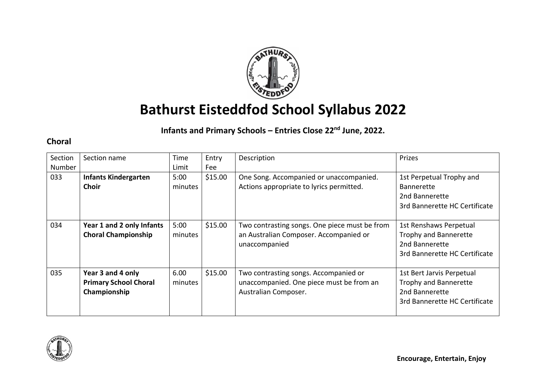

# **Bathurst Eisteddfod School Syllabus 2022**

## **Infants and Primary Schools – Entries Close 22nd June, 2022.**

### **Choral**

| Section<br>Number | Section name                                                      | Time<br>Limit   | Entry<br>Fee | Description                                                                                               | Prizes                                                                                                |
|-------------------|-------------------------------------------------------------------|-----------------|--------------|-----------------------------------------------------------------------------------------------------------|-------------------------------------------------------------------------------------------------------|
| 033               | <b>Infants Kindergarten</b><br>Choir                              | 5:00<br>minutes | \$15.00      | One Song. Accompanied or unaccompanied.<br>Actions appropriate to lyrics permitted.                       | 1st Perpetual Trophy and<br><b>Bannerette</b><br>2nd Bannerette<br>3rd Bannerette HC Certificate      |
| 034               | Year 1 and 2 only Infants<br><b>Choral Championship</b>           | 5:00<br>minutes | \$15.00      | Two contrasting songs. One piece must be from<br>an Australian Composer. Accompanied or<br>unaccompanied  | 1st Renshaws Perpetual<br>Trophy and Bannerette<br>2nd Bannerette<br>3rd Bannerette HC Certificate    |
| 035               | Year 3 and 4 only<br><b>Primary School Choral</b><br>Championship | 6.00<br>minutes | \$15.00      | Two contrasting songs. Accompanied or<br>unaccompanied. One piece must be from an<br>Australian Composer. | 1st Bert Jarvis Perpetual<br>Trophy and Bannerette<br>2nd Bannerette<br>3rd Bannerette HC Certificate |

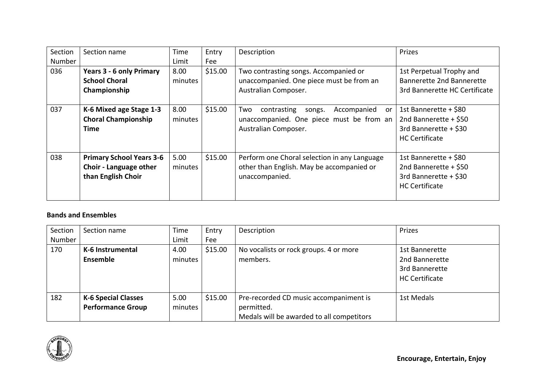| Section | Section name                                                                    | Time            | Entry   | Description                                                                                                           | Prizes                                                                                            |
|---------|---------------------------------------------------------------------------------|-----------------|---------|-----------------------------------------------------------------------------------------------------------------------|---------------------------------------------------------------------------------------------------|
| Number  |                                                                                 | Limit           | Fee     |                                                                                                                       |                                                                                                   |
| 036     | <b>Years 3 - 6 only Primary</b>                                                 | 8.00            | \$15.00 | Two contrasting songs. Accompanied or                                                                                 | 1st Perpetual Trophy and                                                                          |
|         | <b>School Choral</b>                                                            | minutes         |         | unaccompanied. One piece must be from an                                                                              | Bannerette 2nd Bannerette                                                                         |
|         | Championship                                                                    |                 |         | Australian Composer.                                                                                                  | 3rd Bannerette HC Certificate                                                                     |
| 037     | K-6 Mixed age Stage 1-3<br><b>Choral Championship</b><br>Time                   | 8.00<br>minutes | \$15.00 | contrasting<br>Accompanied<br>Two<br>songs.<br>or<br>unaccompanied. One piece must be from an<br>Australian Composer. | 1st Bannerette + \$80<br>2nd Bannerette + \$50<br>3rd Bannerette + \$30<br><b>HC</b> Certificate  |
| 038     | <b>Primary School Years 3-6</b><br>Choir - Language other<br>than English Choir | 5.00<br>minutes | \$15.00 | Perform one Choral selection in any Language<br>other than English. May be accompanied or<br>unaccompanied.           | 1st Bannerette + \$80<br>2nd Bannerette + $$50$<br>3rd Bannerette + \$30<br><b>HC Certificate</b> |

#### **Bands and Ensembles**

| Section<br>Number | Section name                                           | Time<br>Limit   | Entry<br>Fee | Description                                                                                       | Prizes                                                                      |
|-------------------|--------------------------------------------------------|-----------------|--------------|---------------------------------------------------------------------------------------------------|-----------------------------------------------------------------------------|
| 170               | K-6 Instrumental<br>Ensemble                           | 4.00<br>minutes | \$15.00      | No vocalists or rock groups. 4 or more<br>members.                                                | 1st Bannerette<br>2nd Bannerette<br>3rd Bannerette<br><b>HC Certificate</b> |
| 182               | <b>K-6 Special Classes</b><br><b>Performance Group</b> | 5.00<br>minutes | \$15.00      | Pre-recorded CD music accompaniment is<br>permitted.<br>Medals will be awarded to all competitors | 1st Medals                                                                  |

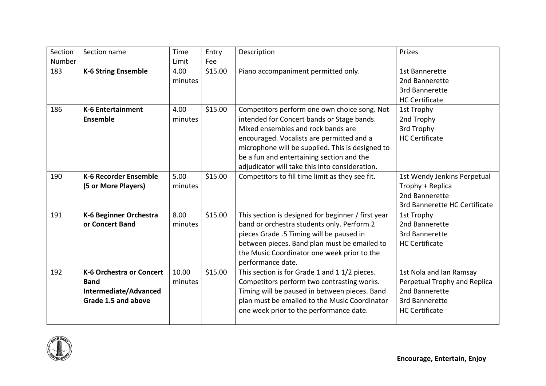| Section | Section name                                                                                   | Time             | Entry   | Description                                                                                                                                                                                                                                                                                                                      | Prizes                                                                                                               |
|---------|------------------------------------------------------------------------------------------------|------------------|---------|----------------------------------------------------------------------------------------------------------------------------------------------------------------------------------------------------------------------------------------------------------------------------------------------------------------------------------|----------------------------------------------------------------------------------------------------------------------|
| Number  |                                                                                                | Limit            | Fee     |                                                                                                                                                                                                                                                                                                                                  |                                                                                                                      |
| 183     | <b>K-6 String Ensemble</b>                                                                     | 4.00<br>minutes  | \$15.00 | Piano accompaniment permitted only.                                                                                                                                                                                                                                                                                              | 1st Bannerette<br>2nd Bannerette<br>3rd Bannerette<br><b>HC Certificate</b>                                          |
| 186     | <b>K-6 Entertainment</b><br>Ensemble                                                           | 4.00<br>minutes  | \$15.00 | Competitors perform one own choice song. Not<br>intended for Concert bands or Stage bands.<br>Mixed ensembles and rock bands are<br>encouraged. Vocalists are permitted and a<br>microphone will be supplied. This is designed to<br>be a fun and entertaining section and the<br>adjudicator will take this into consideration. | 1st Trophy<br>2nd Trophy<br>3rd Trophy<br><b>HC Certificate</b>                                                      |
| 190     | <b>K-6 Recorder Ensemble</b><br>(5 or More Players)                                            | 5.00<br>minutes  | \$15.00 | Competitors to fill time limit as they see fit.                                                                                                                                                                                                                                                                                  | 1st Wendy Jenkins Perpetual<br>Trophy + Replica<br>2nd Bannerette<br>3rd Bannerette HC Certificate                   |
| 191     | K-6 Beginner Orchestra<br>or Concert Band                                                      | 8.00<br>minutes  | \$15.00 | This section is designed for beginner / first year<br>band or orchestra students only. Perform 2<br>pieces Grade .5 Timing will be paused in<br>between pieces. Band plan must be emailed to<br>the Music Coordinator one week prior to the<br>performance date.                                                                 | 1st Trophy<br>2nd Bannerette<br>3rd Bannerette<br><b>HC Certificate</b>                                              |
| 192     | <b>K-6 Orchestra or Concert</b><br><b>Band</b><br>Intermediate/Advanced<br>Grade 1.5 and above | 10.00<br>minutes | \$15.00 | This section is for Grade 1 and 1 1/2 pieces.<br>Competitors perform two contrasting works.<br>Timing will be paused in between pieces. Band<br>plan must be emailed to the Music Coordinator<br>one week prior to the performance date.                                                                                         | 1st Nola and Ian Ramsay<br>Perpetual Trophy and Replica<br>2nd Bannerette<br>3rd Bannerette<br><b>HC Certificate</b> |

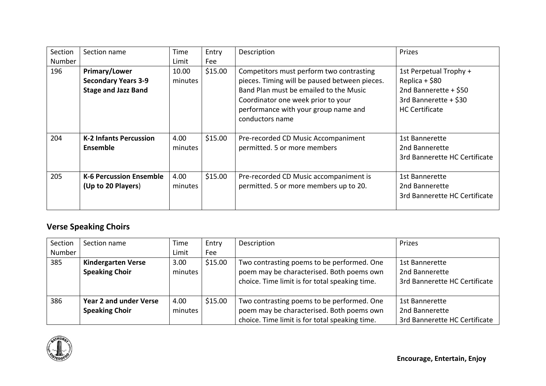| Section       | Section name                                                                     | Time             | Entry   | Description                                                                                                                                                                                                                          | Prizes                                                                                                              |
|---------------|----------------------------------------------------------------------------------|------------------|---------|--------------------------------------------------------------------------------------------------------------------------------------------------------------------------------------------------------------------------------------|---------------------------------------------------------------------------------------------------------------------|
| <b>Number</b> |                                                                                  | Limit            | Fee     |                                                                                                                                                                                                                                      |                                                                                                                     |
| 196           | <b>Primary/Lower</b><br><b>Secondary Years 3-9</b><br><b>Stage and Jazz Band</b> | 10.00<br>minutes | \$15.00 | Competitors must perform two contrasting<br>pieces. Timing will be paused between pieces.<br>Band Plan must be emailed to the Music<br>Coordinator one week prior to your<br>performance with your group name and<br>conductors name | 1st Perpetual Trophy +<br>Replica + \$80<br>2nd Bannerette + \$50<br>3rd Bannerette + \$30<br><b>HC Certificate</b> |
| 204           | <b>K-2 Infants Percussion</b><br>Ensemble                                        | 4.00<br>minutes  | \$15.00 | Pre-recorded CD Music Accompaniment<br>permitted. 5 or more members                                                                                                                                                                  | 1st Bannerette<br>2nd Bannerette<br>3rd Bannerette HC Certificate                                                   |
| 205           | <b>K-6 Percussion Ensemble</b><br>(Up to 20 Players)                             | 4.00<br>minutes  | \$15.00 | Pre-recorded CD Music accompaniment is<br>permitted. 5 or more members up to 20.                                                                                                                                                     | 1st Bannerette<br>2nd Bannerette<br>3rd Bannerette HC Certificate                                                   |

## **Verse Speaking Choirs**

| Section | Section name              | Time    | Entry   | Description                                    | Prizes                        |
|---------|---------------------------|---------|---------|------------------------------------------------|-------------------------------|
| Number  |                           | Limit   | Fee     |                                                |                               |
| 385     | <b>Kindergarten Verse</b> | 3.00    | \$15.00 | Two contrasting poems to be performed. One     | 1st Bannerette                |
|         | <b>Speaking Choir</b>     | minutes |         | poem may be characterised. Both poems own      | 2nd Bannerette                |
|         |                           |         |         | choice. Time limit is for total speaking time. | 3rd Bannerette HC Certificate |
|         |                           |         |         |                                                |                               |
| 386     | Year 2 and under Verse    | 4.00    | \$15.00 | Two contrasting poems to be performed. One     | 1st Bannerette                |
|         | <b>Speaking Choir</b>     | minutes |         | poem may be characterised. Both poems own      | 2nd Bannerette                |
|         |                           |         |         | choice. Time limit is for total speaking time. | 3rd Bannerette HC Certificate |

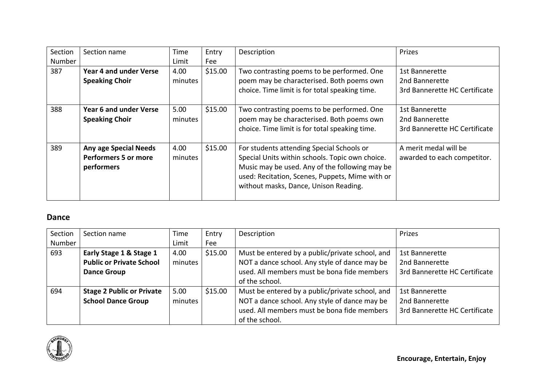| Section | Section name                                                              | Time            | Entry   | Description                                                                                                                                                                                                                                | Prizes                                                                   |
|---------|---------------------------------------------------------------------------|-----------------|---------|--------------------------------------------------------------------------------------------------------------------------------------------------------------------------------------------------------------------------------------------|--------------------------------------------------------------------------|
| Number  |                                                                           | Limit           | Fee     |                                                                                                                                                                                                                                            |                                                                          |
| 387     | Year 4 and under Verse<br><b>Speaking Choir</b>                           | 4.00<br>minutes | \$15.00 | Two contrasting poems to be performed. One<br>poem may be characterised. Both poems own<br>choice. Time limit is for total speaking time.                                                                                                  | 1st Bannerette<br>2nd Bannerette<br>3rd Bannerette HC Certificate        |
| 388     | Year 6 and under Verse<br><b>Speaking Choir</b>                           | 5.00<br>minutes | \$15.00 | Two contrasting poems to be performed. One<br>poem may be characterised. Both poems own<br>choice. Time limit is for total speaking time.                                                                                                  | <b>1st Bannerette</b><br>2nd Bannerette<br>3rd Bannerette HC Certificate |
| 389     | <b>Any age Special Needs</b><br><b>Performers 5 or more</b><br>performers | 4.00<br>minutes | \$15.00 | For students attending Special Schools or<br>Special Units within schools. Topic own choice.<br>Music may be used. Any of the following may be<br>used: Recitation, Scenes, Puppets, Mime with or<br>without masks, Dance, Unison Reading. | A merit medal will be<br>awarded to each competitor.                     |

#### **Dance**

| Section | Section name                     | Time    | Entry   | Description                                     | Prizes                        |
|---------|----------------------------------|---------|---------|-------------------------------------------------|-------------------------------|
| Number  |                                  | Limit   | Fee     |                                                 |                               |
| 693     | Early Stage 1 & Stage 1          | 4.00    | \$15.00 | Must be entered by a public/private school, and | 1st Bannerette                |
|         | <b>Public or Private School</b>  | minutes |         | NOT a dance school. Any style of dance may be   | 2nd Bannerette                |
|         | <b>Dance Group</b>               |         |         | used. All members must be bona fide members     | 3rd Bannerette HC Certificate |
|         |                                  |         |         | of the school.                                  |                               |
| 694     | <b>Stage 2 Public or Private</b> | 5.00    | \$15.00 | Must be entered by a public/private school, and | 1st Bannerette                |
|         | <b>School Dance Group</b>        | minutes |         | NOT a dance school. Any style of dance may be   | 2nd Bannerette                |
|         |                                  |         |         | used. All members must be bona fide members     | 3rd Bannerette HC Certificate |
|         |                                  |         |         | of the school.                                  |                               |

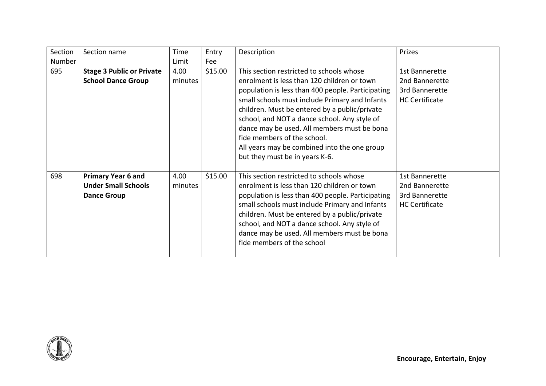| Section | Section name                                                                  | Time            | Entry   | Description                                                                                                                                                                                                                                                                                                                                                                                                                                                     | Prizes                                                                      |
|---------|-------------------------------------------------------------------------------|-----------------|---------|-----------------------------------------------------------------------------------------------------------------------------------------------------------------------------------------------------------------------------------------------------------------------------------------------------------------------------------------------------------------------------------------------------------------------------------------------------------------|-----------------------------------------------------------------------------|
| Number  |                                                                               | Limit           | Fee     |                                                                                                                                                                                                                                                                                                                                                                                                                                                                 |                                                                             |
| 695     | <b>Stage 3 Public or Private</b><br><b>School Dance Group</b>                 | 4.00<br>minutes | \$15.00 | This section restricted to schools whose<br>enrolment is less than 120 children or town<br>population is less than 400 people. Participating<br>small schools must include Primary and Infants<br>children. Must be entered by a public/private<br>school, and NOT a dance school. Any style of<br>dance may be used. All members must be bona<br>fide members of the school.<br>All years may be combined into the one group<br>but they must be in years K-6. | 1st Bannerette<br>2nd Bannerette<br>3rd Bannerette<br><b>HC Certificate</b> |
| 698     | <b>Primary Year 6 and</b><br><b>Under Small Schools</b><br><b>Dance Group</b> | 4.00<br>minutes | \$15.00 | This section restricted to schools whose<br>enrolment is less than 120 children or town<br>population is less than 400 people. Participating<br>small schools must include Primary and Infants<br>children. Must be entered by a public/private<br>school, and NOT a dance school. Any style of<br>dance may be used. All members must be bona<br>fide members of the school                                                                                    | 1st Bannerette<br>2nd Bannerette<br>3rd Bannerette<br><b>HC Certificate</b> |

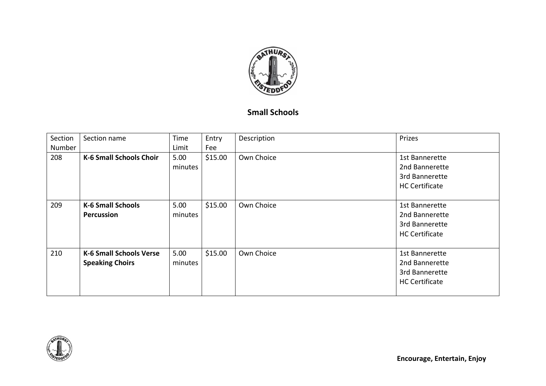

## **Small Schools**

| Section | Section name                                             | Time            | Entry   | Description | Prizes                                                                      |
|---------|----------------------------------------------------------|-----------------|---------|-------------|-----------------------------------------------------------------------------|
| Number  |                                                          | Limit           | Fee     |             |                                                                             |
| 208     | <b>K-6 Small Schools Choir</b>                           | 5.00<br>minutes | \$15.00 | Own Choice  | 1st Bannerette<br>2nd Bannerette<br>3rd Bannerette<br><b>HC Certificate</b> |
| 209     | <b>K-6 Small Schools</b><br>Percussion                   | 5.00<br>minutes | \$15.00 | Own Choice  | 1st Bannerette<br>2nd Bannerette<br>3rd Bannerette<br><b>HC Certificate</b> |
| 210     | <b>K-6 Small Schools Verse</b><br><b>Speaking Choirs</b> | 5.00<br>minutes | \$15.00 | Own Choice  | 1st Bannerette<br>2nd Bannerette<br>3rd Bannerette<br><b>HC Certificate</b> |

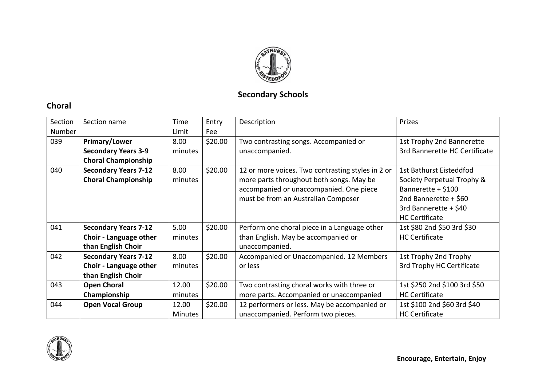

## **Secondary Schools**

## **Choral**

| Section<br>Number | Section name                                                                | Time<br>Limit           | Entry<br>Fee | Description                                                                                                                                                                     | Prizes                                                                                                                                                 |
|-------------------|-----------------------------------------------------------------------------|-------------------------|--------------|---------------------------------------------------------------------------------------------------------------------------------------------------------------------------------|--------------------------------------------------------------------------------------------------------------------------------------------------------|
| 039               | Primary/Lower<br><b>Secondary Years 3-9</b><br><b>Choral Championship</b>   | 8.00<br>minutes         | \$20.00      | Two contrasting songs. Accompanied or<br>unaccompanied.                                                                                                                         | 1st Trophy 2nd Bannerette<br>3rd Bannerette HC Certificate                                                                                             |
| 040               | <b>Secondary Years 7-12</b><br><b>Choral Championship</b>                   | 8.00<br>minutes         | \$20.00      | 12 or more voices. Two contrasting styles in 2 or<br>more parts throughout both songs. May be<br>accompanied or unaccompanied. One piece<br>must be from an Australian Composer | 1st Bathurst Eisteddfod<br>Society Perpetual Trophy &<br>Bannerette + \$100<br>2nd Bannerette + \$60<br>3rd Bannerette + \$40<br><b>HC Certificate</b> |
| 041               | <b>Secondary Years 7-12</b><br>Choir - Language other<br>than English Choir | 5.00<br>minutes         | \$20.00      | Perform one choral piece in a Language other<br>than English. May be accompanied or<br>unaccompanied.                                                                           | 1st \$80 2nd \$50 3rd \$30<br><b>HC Certificate</b>                                                                                                    |
| 042               | <b>Secondary Years 7-12</b><br>Choir - Language other<br>than English Choir | 8.00<br>minutes         | \$20.00      | Accompanied or Unaccompanied. 12 Members<br>or less                                                                                                                             | 1st Trophy 2nd Trophy<br>3rd Trophy HC Certificate                                                                                                     |
| 043               | <b>Open Choral</b><br>Championship                                          | 12.00<br>minutes        | \$20.00      | Two contrasting choral works with three or<br>more parts. Accompanied or unaccompanied                                                                                          | 1st \$250 2nd \$100 3rd \$50<br><b>HC Certificate</b>                                                                                                  |
| 044               | <b>Open Vocal Group</b>                                                     | 12.00<br><b>Minutes</b> | \$20.00      | 12 performers or less. May be accompanied or<br>unaccompanied. Perform two pieces.                                                                                              | 1st \$100 2nd \$60 3rd \$40<br><b>HC Certificate</b>                                                                                                   |

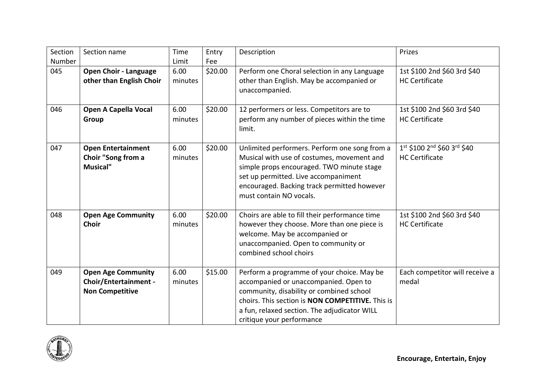| Section<br>Number | Section name                                                                        | Time<br>Limit   | Entry<br>Fee | Description                                                                                                                                                                                                                                                             | Prizes                                               |
|-------------------|-------------------------------------------------------------------------------------|-----------------|--------------|-------------------------------------------------------------------------------------------------------------------------------------------------------------------------------------------------------------------------------------------------------------------------|------------------------------------------------------|
| 045               | <b>Open Choir - Language</b><br>other than English Choir                            | 6.00<br>minutes | \$20.00      | Perform one Choral selection in any Language<br>other than English. May be accompanied or<br>unaccompanied.                                                                                                                                                             | 1st \$100 2nd \$60 3rd \$40<br><b>HC Certificate</b> |
| 046               | <b>Open A Capella Vocal</b><br>Group                                                | 6.00<br>minutes | \$20.00      | 12 performers or less. Competitors are to<br>perform any number of pieces within the time<br>limit.                                                                                                                                                                     | 1st \$100 2nd \$60 3rd \$40<br><b>HC Certificate</b> |
| 047               | <b>Open Entertainment</b><br>Choir "Song from a<br><b>Musical"</b>                  | 6.00<br>minutes | \$20.00      | Unlimited performers. Perform one song from a<br>Musical with use of costumes, movement and<br>simple props encouraged. TWO minute stage<br>set up permitted. Live accompaniment<br>encouraged. Backing track permitted however<br>must contain NO vocals.              | 1st \$100 2nd \$60 3rd \$40<br><b>HC Certificate</b> |
| 048               | <b>Open Age Community</b><br><b>Choir</b>                                           | 6.00<br>minutes | \$20.00      | Choirs are able to fill their performance time<br>however they choose. More than one piece is<br>welcome. May be accompanied or<br>unaccompanied. Open to community or<br>combined school choirs                                                                        | 1st \$100 2nd \$60 3rd \$40<br><b>HC Certificate</b> |
| 049               | <b>Open Age Community</b><br><b>Choir/Entertainment -</b><br><b>Non Competitive</b> | 6.00<br>minutes | \$15.00      | Perform a programme of your choice. May be<br>accompanied or unaccompanied. Open to<br>community, disability or combined school<br>choirs. This section is <b>NON COMPETITIVE.</b> This is<br>a fun, relaxed section. The adjudicator WILL<br>critique your performance | Each competitor will receive a<br>medal              |

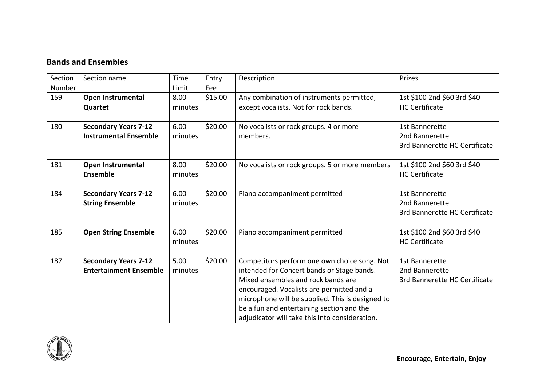## **Bands and Ensembles**

| Section | Section name                  | Time    | Entry   | Description                                      | Prizes                        |
|---------|-------------------------------|---------|---------|--------------------------------------------------|-------------------------------|
| Number  |                               | Limit   | Fee     |                                                  |                               |
| 159     | Open Instrumental             | 8.00    | \$15.00 | Any combination of instruments permitted,        | 1st \$100 2nd \$60 3rd \$40   |
|         | Quartet                       | minutes |         | except vocalists. Not for rock bands.            | <b>HC Certificate</b>         |
|         |                               |         |         |                                                  |                               |
| 180     | <b>Secondary Years 7-12</b>   | 6.00    | \$20.00 | No vocalists or rock groups. 4 or more           | <b>1st Bannerette</b>         |
|         | <b>Instrumental Ensemble</b>  | minutes |         | members.                                         | 2nd Bannerette                |
|         |                               |         |         |                                                  | 3rd Bannerette HC Certificate |
|         |                               |         |         |                                                  |                               |
| 181     | Open Instrumental             | 8.00    | \$20.00 | No vocalists or rock groups. 5 or more members   | 1st \$100 2nd \$60 3rd \$40   |
|         | Ensemble                      | minutes |         |                                                  | <b>HC Certificate</b>         |
|         |                               |         |         |                                                  |                               |
| 184     | <b>Secondary Years 7-12</b>   | 6.00    | \$20.00 | Piano accompaniment permitted                    | 1st Bannerette                |
|         | <b>String Ensemble</b>        | minutes |         |                                                  | 2nd Bannerette                |
|         |                               |         |         |                                                  | 3rd Bannerette HC Certificate |
|         |                               |         |         |                                                  |                               |
| 185     | <b>Open String Ensemble</b>   | 6.00    | \$20.00 | Piano accompaniment permitted                    | 1st \$100 2nd \$60 3rd \$40   |
|         |                               | minutes |         |                                                  | <b>HC Certificate</b>         |
|         |                               |         |         |                                                  |                               |
| 187     | <b>Secondary Years 7-12</b>   | 5.00    | \$20.00 | Competitors perform one own choice song. Not     | 1st Bannerette                |
|         | <b>Entertainment Ensemble</b> | minutes |         | intended for Concert bands or Stage bands.       | 2nd Bannerette                |
|         |                               |         |         | Mixed ensembles and rock bands are               | 3rd Bannerette HC Certificate |
|         |                               |         |         | encouraged. Vocalists are permitted and a        |                               |
|         |                               |         |         | microphone will be supplied. This is designed to |                               |
|         |                               |         |         | be a fun and entertaining section and the        |                               |
|         |                               |         |         | adjudicator will take this into consideration.   |                               |

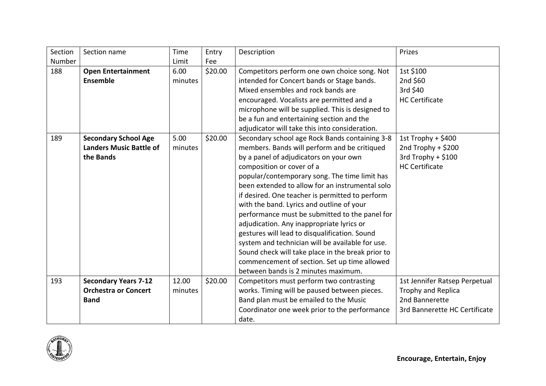| Section | Section name                   | Time    | Entry   | Description                                       | Prizes                        |
|---------|--------------------------------|---------|---------|---------------------------------------------------|-------------------------------|
| Number  |                                | Limit   | Fee     |                                                   |                               |
| 188     | <b>Open Entertainment</b>      | 6.00    | \$20.00 | Competitors perform one own choice song. Not      | 1st \$100                     |
|         | <b>Ensemble</b>                | minutes |         | intended for Concert bands or Stage bands.        | 2nd \$60                      |
|         |                                |         |         | Mixed ensembles and rock bands are                | 3rd \$40                      |
|         |                                |         |         | encouraged. Vocalists are permitted and a         | <b>HC Certificate</b>         |
|         |                                |         |         | microphone will be supplied. This is designed to  |                               |
|         |                                |         |         | be a fun and entertaining section and the         |                               |
|         |                                |         |         | adjudicator will take this into consideration.    |                               |
| 189     | <b>Secondary School Age</b>    | 5.00    | \$20.00 | Secondary school age Rock Bands containing 3-8    | 1st Trophy + $$400$           |
|         | <b>Landers Music Battle of</b> | minutes |         | members. Bands will perform and be critiqued      | 2nd Trophy + \$200            |
|         | the Bands                      |         |         | by a panel of adjudicators on your own            | 3rd Trophy + \$100            |
|         |                                |         |         | composition or cover of a                         | <b>HC Certificate</b>         |
|         |                                |         |         | popular/contemporary song. The time limit has     |                               |
|         |                                |         |         | been extended to allow for an instrumental solo   |                               |
|         |                                |         |         | if desired. One teacher is permitted to perform   |                               |
|         |                                |         |         | with the band. Lyrics and outline of your         |                               |
|         |                                |         |         | performance must be submitted to the panel for    |                               |
|         |                                |         |         | adjudication. Any inappropriate lyrics or         |                               |
|         |                                |         |         | gestures will lead to disqualification. Sound     |                               |
|         |                                |         |         | system and technician will be available for use.  |                               |
|         |                                |         |         | Sound check will take place in the break prior to |                               |
|         |                                |         |         | commencement of section. Set up time allowed      |                               |
|         |                                |         |         | between bands is 2 minutes maximum.               |                               |
| 193     | <b>Secondary Years 7-12</b>    | 12.00   | \$20.00 | Competitors must perform two contrasting          | 1st Jennifer Ratsep Perpetual |
|         | <b>Orchestra or Concert</b>    | minutes |         | works. Timing will be paused between pieces.      | Trophy and Replica            |
|         | <b>Band</b>                    |         |         | Band plan must be emailed to the Music            | 2nd Bannerette                |
|         |                                |         |         | Coordinator one week prior to the performance     | 3rd Bannerette HC Certificate |
|         |                                |         |         | date.                                             |                               |

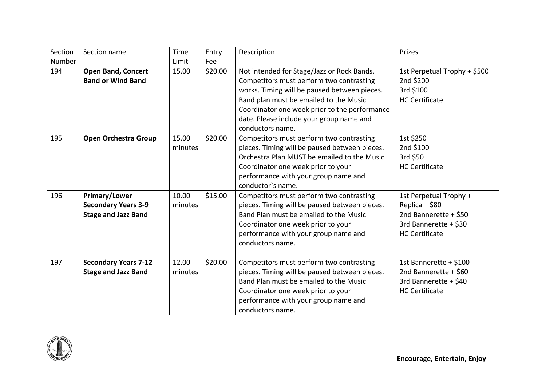| Section<br>Number | Section name                                                              | Time<br>Limit    | Entry<br>Fee | Description                                                                                                                                                                                                                                                                                       | Prizes                                                                                                              |
|-------------------|---------------------------------------------------------------------------|------------------|--------------|---------------------------------------------------------------------------------------------------------------------------------------------------------------------------------------------------------------------------------------------------------------------------------------------------|---------------------------------------------------------------------------------------------------------------------|
| 194               | <b>Open Band, Concert</b><br><b>Band or Wind Band</b>                     | 15.00            | \$20.00      | Not intended for Stage/Jazz or Rock Bands.<br>Competitors must perform two contrasting<br>works. Timing will be paused between pieces.<br>Band plan must be emailed to the Music<br>Coordinator one week prior to the performance<br>date. Please include your group name and<br>conductors name. | 1st Perpetual Trophy + \$500<br>2nd \$200<br>3rd \$100<br><b>HC Certificate</b>                                     |
| 195               | <b>Open Orchestra Group</b>                                               | 15.00<br>minutes | \$20.00      | Competitors must perform two contrasting<br>pieces. Timing will be paused between pieces.<br>Orchestra Plan MUST be emailed to the Music<br>Coordinator one week prior to your<br>performance with your group name and<br>conductor's name.                                                       | 1st \$250<br>2nd \$100<br>3rd \$50<br><b>HC Certificate</b>                                                         |
| 196               | Primary/Lower<br><b>Secondary Years 3-9</b><br><b>Stage and Jazz Band</b> | 10.00<br>minutes | \$15.00      | Competitors must perform two contrasting<br>pieces. Timing will be paused between pieces.<br>Band Plan must be emailed to the Music<br>Coordinator one week prior to your<br>performance with your group name and<br>conductors name.                                                             | 1st Perpetual Trophy +<br>Replica + \$80<br>2nd Bannerette + \$50<br>3rd Bannerette + \$30<br><b>HC Certificate</b> |
| 197               | <b>Secondary Years 7-12</b><br><b>Stage and Jazz Band</b>                 | 12.00<br>minutes | \$20.00      | Competitors must perform two contrasting<br>pieces. Timing will be paused between pieces.<br>Band Plan must be emailed to the Music<br>Coordinator one week prior to your<br>performance with your group name and<br>conductors name.                                                             | 1st Bannerette + \$100<br>2nd Bannerette + \$60<br>3rd Bannerette + \$40<br><b>HC Certificate</b>                   |

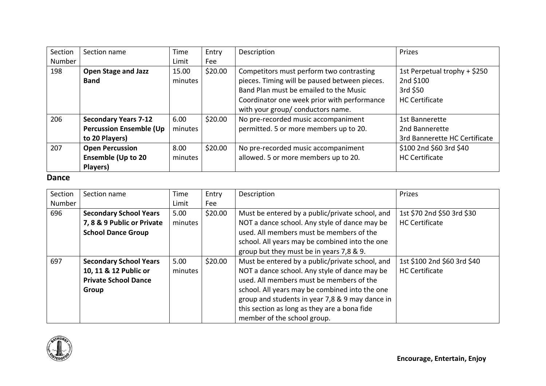| Section | Section name                   | Time    | Entry   | Description                                   | Prizes                        |
|---------|--------------------------------|---------|---------|-----------------------------------------------|-------------------------------|
| Number  |                                | Limit   | Fee     |                                               |                               |
| 198     | <b>Open Stage and Jazz</b>     | 15.00   | \$20.00 | Competitors must perform two contrasting      | 1st Perpetual trophy + \$250  |
|         | <b>Band</b>                    | minutes |         | pieces. Timing will be paused between pieces. | 2nd \$100                     |
|         |                                |         |         | Band Plan must be emailed to the Music        | 3rd \$50                      |
|         |                                |         |         | Coordinator one week prior with performance   | <b>HC Certificate</b>         |
|         |                                |         |         | with your group/ conductors name.             |                               |
| 206     | <b>Secondary Years 7-12</b>    | 6.00    | \$20.00 | No pre-recorded music accompaniment           | 1st Bannerette                |
|         | <b>Percussion Ensemble (Up</b> | minutes |         | permitted. 5 or more members up to 20.        | 2nd Bannerette                |
|         | to 20 Players)                 |         |         |                                               | 3rd Bannerette HC Certificate |
| 207     | <b>Open Percussion</b>         | 8.00    | \$20.00 | No pre-recorded music accompaniment           | \$100 2nd \$60 3rd \$40       |
|         | <b>Ensemble (Up to 20</b>      | minutes |         | allowed. 5 or more members up to 20.          | <b>HC Certificate</b>         |
|         | Players)                       |         |         |                                               |                               |

#### **Dance**

| Section | Section name                  | Time    | Entry   | Description                                     | Prizes                      |
|---------|-------------------------------|---------|---------|-------------------------------------------------|-----------------------------|
| Number  |                               | Limit   | Fee     |                                                 |                             |
| 696     | <b>Secondary School Years</b> | 5.00    | \$20.00 | Must be entered by a public/private school, and | 1st \$70 2nd \$50 3rd \$30  |
|         | 7, 8 & 9 Public or Private    | minutes |         | NOT a dance school. Any style of dance may be   | <b>HC Certificate</b>       |
|         | <b>School Dance Group</b>     |         |         | used. All members must be members of the        |                             |
|         |                               |         |         | school. All years may be combined into the one  |                             |
|         |                               |         |         | group but they must be in years 7,8 & 9.        |                             |
| 697     | <b>Secondary School Years</b> | 5.00    | \$20.00 | Must be entered by a public/private school, and | 1st \$100 2nd \$60 3rd \$40 |
|         | 10, 11 & 12 Public or         | minutes |         | NOT a dance school. Any style of dance may be   | <b>HC Certificate</b>       |
|         | <b>Private School Dance</b>   |         |         | used. All members must be members of the        |                             |
|         | Group                         |         |         | school. All years may be combined into the one  |                             |
|         |                               |         |         | group and students in year 7,8 & 9 may dance in |                             |
|         |                               |         |         | this section as long as they are a bona fide    |                             |
|         |                               |         |         | member of the school group.                     |                             |